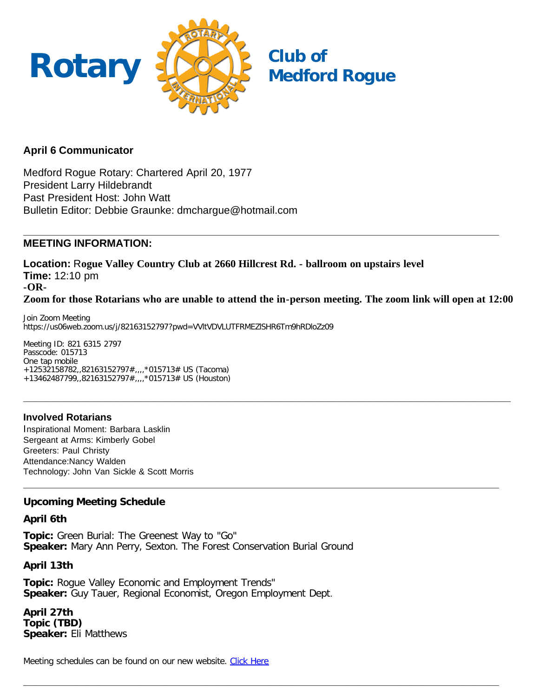

## **April 6 Communicator**

Medford Rogue Rotary: Chartered April 20, 1977 President Larry Hildebrandt Past President Host: John Watt Bulletin Editor: Debbie Graunke: dmchargue@hotmail.com

#### **\_\_\_\_\_\_\_\_\_\_\_\_\_\_\_\_\_\_\_\_\_\_\_\_\_\_\_\_\_\_\_\_\_\_\_\_\_\_\_\_\_\_\_\_\_\_\_\_\_\_\_\_\_\_\_\_\_\_\_\_\_\_\_\_\_\_\_\_\_\_\_\_\_\_\_\_\_\_\_\_\_ MEETING INFORMATION:**

**Location:** R**ogue Valley Country Club at 2660 Hillcrest Rd. - ballroom on upstairs level Time:** 12:10 pm **-OR-Zoom for those Rotarians who are unable to attend the in-person meeting. The zoom link will open at 12:00**

**\_\_\_\_\_\_\_\_\_\_\_\_\_\_\_\_\_\_\_\_\_\_\_\_\_\_\_\_\_\_\_\_\_\_\_\_\_\_\_\_\_\_\_\_\_\_\_\_\_\_\_\_\_\_\_\_\_\_\_\_\_\_\_\_\_\_\_\_\_\_\_\_\_\_\_\_\_\_\_\_\_\_\_**

**\_\_\_\_\_\_\_\_\_\_\_\_\_\_\_\_\_\_\_\_\_\_\_\_\_\_\_\_\_\_\_\_\_\_\_\_\_\_\_\_\_\_\_\_\_\_\_\_\_\_\_\_\_\_\_\_\_\_\_\_\_\_\_\_\_\_\_\_\_\_\_\_\_\_\_\_\_\_\_\_\_**

**\_\_\_\_\_\_\_\_\_\_\_\_\_\_\_\_\_\_\_\_\_\_\_\_\_\_\_\_\_\_\_\_\_\_\_\_\_\_\_\_\_\_\_\_\_\_\_\_\_\_\_\_\_\_\_\_\_\_\_\_\_\_\_\_\_\_\_\_\_\_\_\_\_\_\_\_\_\_\_\_\_**

Join Zoom Meeting https://us06web.zoom.us/j/82163152797?pwd=VVltVDVLUTFRMEZlSHR6Tm9hRDloZz09

Meeting ID: 821 6315 2797 Passcode: 015713 One tap mobile +12532158782,,82163152797#,,,,\*015713# US (Tacoma) +13462487799,,82163152797#,,,,\*015713# US (Houston)

## **Involved Rotarians**

Inspirational Moment: Barbara Lasklin Sergeant at Arms: Kimberly Gobel Greeters: Paul Christy Attendance:Nancy Walden Technology: John Van Sickle & Scott Morris

## **Upcoming Meeting Schedule**

#### **April 6th**

**Topic:** Green Burial: The Greenest Way to "Go" **Speaker:** Mary Ann Perry, Sexton. The Forest Conservation Burial Ground

#### **April 13th**

**Topic:** Rogue Valley Economic and Employment Trends" **Speaker:** Guy Tauer, Regional Economist, Oregon Employment Dept.

**April 27th Topic (TBD) Speaker:** Eli Matthews

Meeting schedules can be found on our new website. [Click Here](https://medfordrogue.org/)